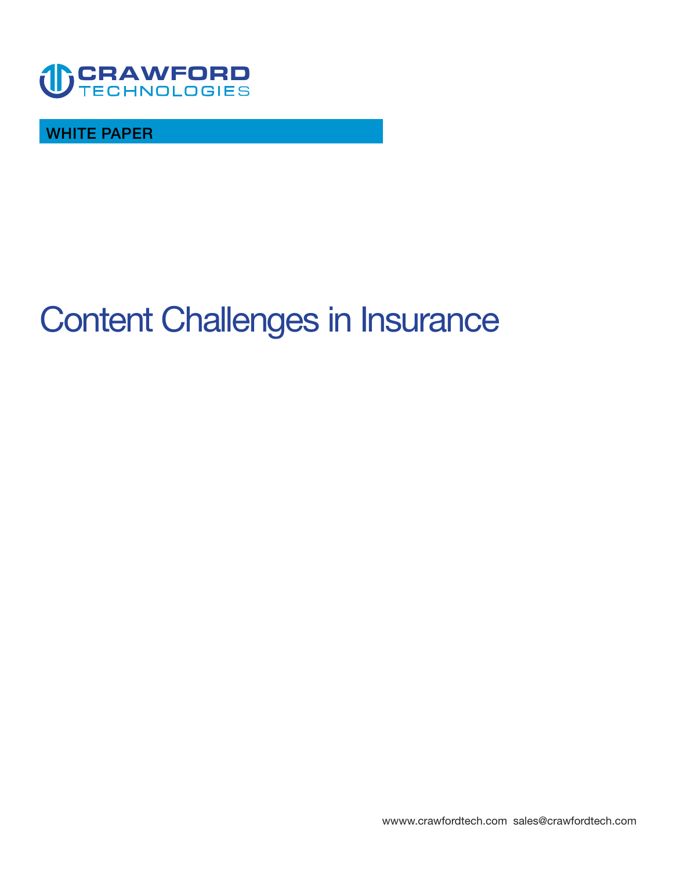

**WHITE PAPER** 

# **Content Challenges in Insurance**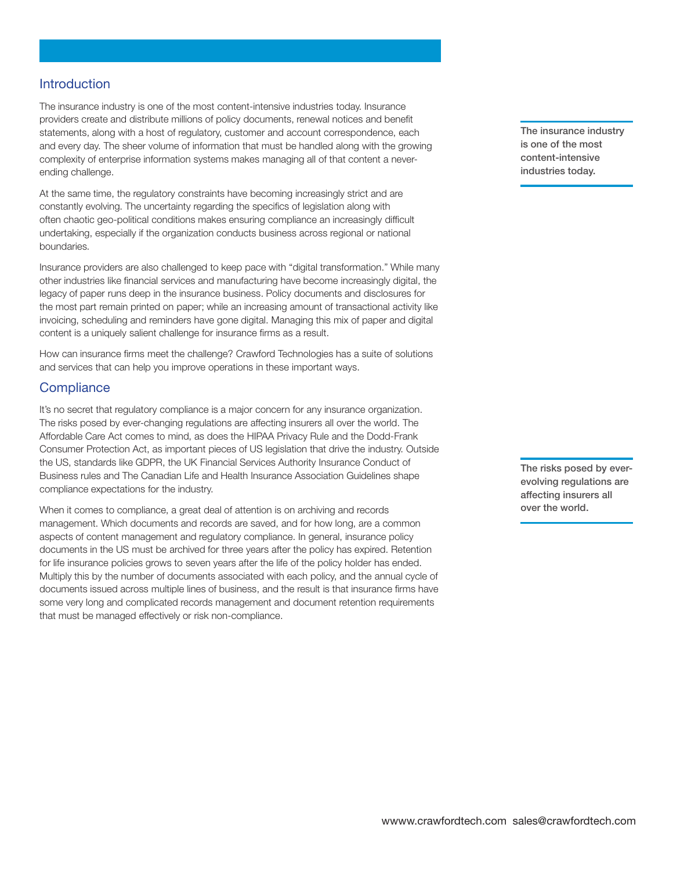#### **Introduction**

**The insurance industry is one of the most content-intensive industries today. Insurance providers create and distribute millions of policy documents, renewal notices and benefit statements, along with a host of regulatory, customer and account correspondence, each and every day. The sheer volume of information that must be handled along with the growing complexity of enterprise information systems makes managing all of that content a neverending challenge.** 

**At the same time, the regulatory constraints have becoming increasingly strict and are constantly evolving. The uncertainty regarding the specifics of legislation along with often chaotic geo-political conditions makes ensuring compliance an increasingly difficult undertaking, especially if the organization conducts business across regional or national boundaries.** 

**Insurance providers are also challenged to keep pace with "digital transformation." While many other industries like financial services and manufacturing have become increasingly digital, the legacy of paper runs deep in the insurance business. Policy documents and disclosures for the most part remain printed on paper; while an increasing amount of transactional activity like invoicing, scheduling and reminders have gone digital. Managing this mix of paper and digital content is a uniquely salient challenge for insurance firms as a result.** 

**How can insurance firms meet the challenge? Crawford Technologies has a suite of solutions and services that can help you improve operations in these important ways.** 

#### **Compliance**

**It's no secret that regulatory compliance is a major concern for any insurance organization. The risks posed by ever-changing regulations are affecting insurers all over the world. The Affordable Care Act comes to mind, as does the HIPAA Privacy Rule and the Dodd-Frank Consumer Protection Act, as important pieces of US legislation that drive the industry. Outside the US, standards like GDPR, the UK Financial Services Authority Insurance Conduct of Business rules and The Canadian Life and Health Insurance Association Guidelines shape compliance expectations for the industry.** 

**When it comes to compliance, a great deal of attention is on archiving and records management. Which documents and records are saved, and for how long, are a common aspects of content management and regulatory compliance. In general, insurance policy documents in the US must be archived for three years after the policy has expired. Retention for life insurance policies grows to seven years after the life of the policy holder has ended. Multiply this by the number of documents associated with each policy, and the annual cycle of documents issued across multiple lines of business, and the result is that insurance firms have some very long and complicated records management and document retention requirements that must be managed effectively or risk non-compliance.** 

**The insurance industry is one of the most content-intensive industries today.** 

**The risks posed by everevolving regulations are affecting insurers all over the world.**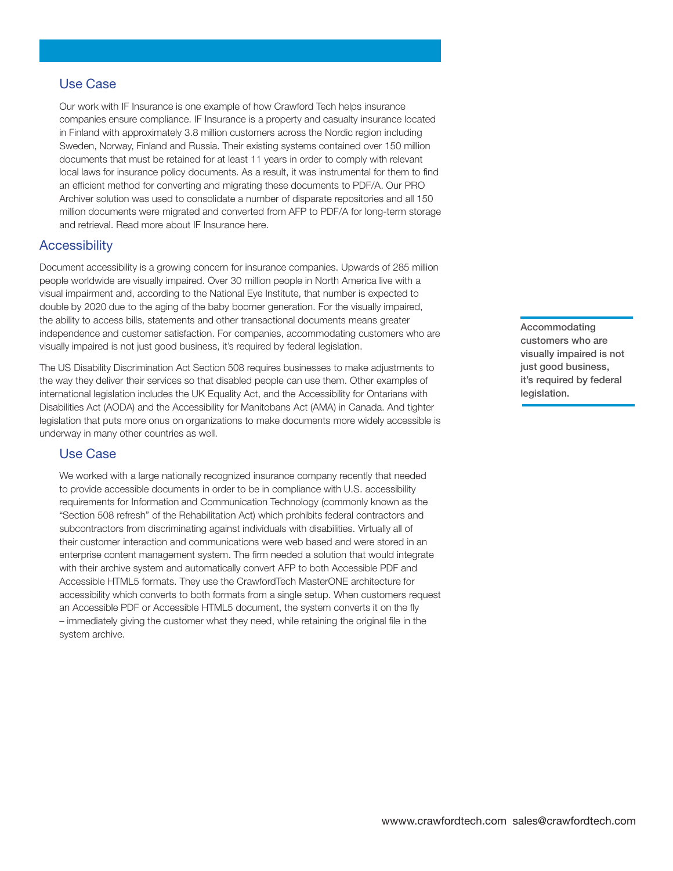## **Use Case**

**Our work with IF Insurance is one example of how Crawford Tech helps insurance companies ensure compliance. IF Insurance is a property and casualty insurance located in Finland with approximately 3.8 million customers across the Nordic region including Sweden, Norway, Finland and Russia. Their existing systems contained over 150 million documents that must be retained for at least 11 years in order to comply with relevant local laws for insurance policy documents. As a result, it was instrumental for them to find an efficient method for converting and migrating these documents to PDF/A. Our PRO Archiver solution was used to consolidate a number of disparate repositories and all 150 million documents were migrated and converted from AFP to PDF/A for long-term storage and retrieval. Read more about IF Insurance here.** 

#### **Accessibility**

**Document accessibility is a growing concern for insurance companies. Upwards of 285 million people worldwide are visually impaired. Over 30 million people in North America live with a visual impairment and, according to the National Eye Institute, that number is expected to double by 2020 due to the aging of the baby boomer generation. For the visually impaired, the ability to access bills, statements and other transactional documents means greater independence and customer satisfaction. For companies, accommodating customers who are visually impaired is not just good business, it's required by federal legislation.** 

**The US Disability Discrimination Act Section 508 requires businesses to make adjustments to the way they deliver their services so that disabled people can use them. Other examples of international legislation includes the UK Equality Act, and the Accessibility for Ontarians with Disabilities Act (AODA) and the Accessibility for Manitobans Act (AMA) in Canada. And tighter legislation that puts more onus on organizations to make documents more widely accessible is underway in many other countries as well.** 

#### **Use Case**

**We worked with a large nationally recognized insurance company recently that needed to provide accessible documents in order to be in compliance with U.S. accessibility requirements for Information and Communication Technology (commonly known as the "Section 508 refresh" of the Rehabilitation Act) which prohibits federal contractors and subcontractors from discriminating against individuals with disabilities. Virtually all of their customer interaction and communications were web based and were stored in an enterprise content management system. The firm needed a solution that would integrate with their archive system and automatically convert AFP to both Accessible PDF and Accessible HTML5 formats. They use the CrawfordTech MasterONE architecture for accessibility which converts to both formats from a single setup. When customers request an Accessible PDF or Accessible HTML5 document, the system converts it on the fly – immediately giving the customer what they need, while retaining the original file in the system archive.**

**Accommodating customers who are visually impaired is not just good business, it's required by federal legislation.**